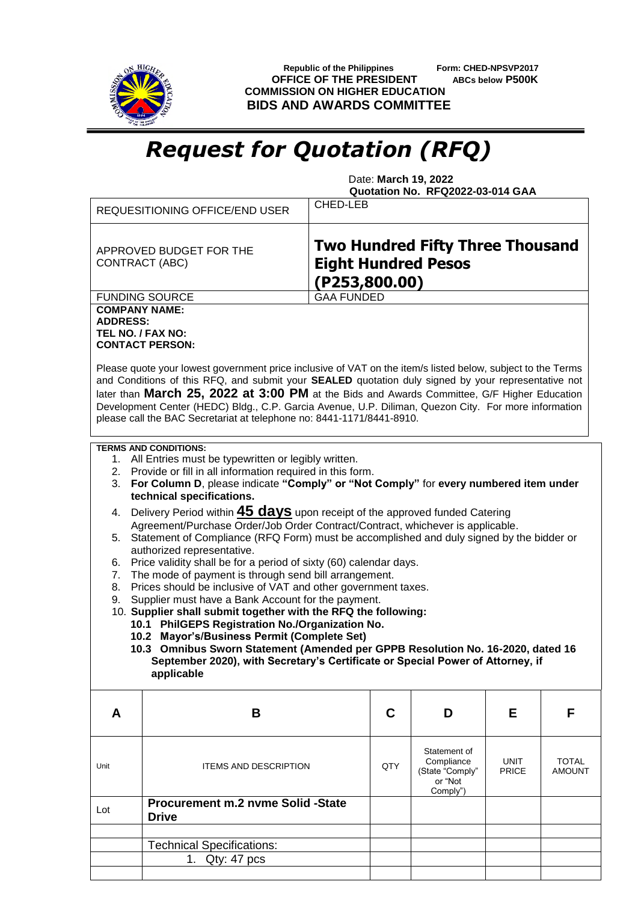

 **Republic of the Philippines Form: CHED-NPSVP2017 OFFICE OF THE PRESIDENT ABCs below P500K COMMISSION ON HIGHER EDUCATION BIDS AND AWARDS COMMITTEE**

## *Request for Quotation (RFQ)*

 Date: **March 19, 2022 Quotation No. RFQ2022-03-014 GAA**

|                                                                                                                                                                                                                                                                                                                                                                                                                                                                                                                                                                                                                                                                                                                                                                                                                                                                                                                                                                                                                                                                                                                                                                                                                               | <b>REQUESITIONING OFFICE/END USER</b>                                                                                                                                                                                                                                        | <b>CHED-LEB</b>                                                                        |  |                                                                      |                             |                               |  |
|-------------------------------------------------------------------------------------------------------------------------------------------------------------------------------------------------------------------------------------------------------------------------------------------------------------------------------------------------------------------------------------------------------------------------------------------------------------------------------------------------------------------------------------------------------------------------------------------------------------------------------------------------------------------------------------------------------------------------------------------------------------------------------------------------------------------------------------------------------------------------------------------------------------------------------------------------------------------------------------------------------------------------------------------------------------------------------------------------------------------------------------------------------------------------------------------------------------------------------|------------------------------------------------------------------------------------------------------------------------------------------------------------------------------------------------------------------------------------------------------------------------------|----------------------------------------------------------------------------------------|--|----------------------------------------------------------------------|-----------------------------|-------------------------------|--|
| APPROVED BUDGET FOR THE<br>CONTRACT (ABC)                                                                                                                                                                                                                                                                                                                                                                                                                                                                                                                                                                                                                                                                                                                                                                                                                                                                                                                                                                                                                                                                                                                                                                                     |                                                                                                                                                                                                                                                                              | <b>Two Hundred Fifty Three Thousand</b><br><b>Eight Hundred Pesos</b><br>(P253,800.00) |  |                                                                      |                             |                               |  |
|                                                                                                                                                                                                                                                                                                                                                                                                                                                                                                                                                                                                                                                                                                                                                                                                                                                                                                                                                                                                                                                                                                                                                                                                                               | <b>FUNDING SOURCE</b>                                                                                                                                                                                                                                                        | <b>GAA FUNDED</b>                                                                      |  |                                                                      |                             |                               |  |
| <b>COMPANY NAME:</b><br><b>ADDRESS:</b><br>TEL NO. / FAX NO:                                                                                                                                                                                                                                                                                                                                                                                                                                                                                                                                                                                                                                                                                                                                                                                                                                                                                                                                                                                                                                                                                                                                                                  | <b>CONTACT PERSON:</b><br>Please quote your lowest government price inclusive of VAT on the item/s listed below, subject to the Terms<br>and Conditions of this RFQ, and submit your SEALED quotation duly signed by your representative not                                 |                                                                                        |  |                                                                      |                             |                               |  |
|                                                                                                                                                                                                                                                                                                                                                                                                                                                                                                                                                                                                                                                                                                                                                                                                                                                                                                                                                                                                                                                                                                                                                                                                                               | later than March 25, 2022 at 3:00 PM at the Bids and Awards Committee, G/F Higher Education<br>Development Center (HEDC) Bldg., C.P. Garcia Avenue, U.P. Diliman, Quezon City. For more information<br>please call the BAC Secretariat at telephone no: 8441-1171/8441-8910. |                                                                                        |  |                                                                      |                             |                               |  |
| <b>TERMS AND CONDITIONS:</b><br>1. All Entries must be typewritten or legibly written.<br>2. Provide or fill in all information required in this form.<br>3. For Column D, please indicate "Comply" or "Not Comply" for every numbered item under<br>technical specifications.<br>Delivery Period within <b>45 days</b> upon receipt of the approved funded Catering<br>4.<br>Agreement/Purchase Order/Job Order Contract/Contract, whichever is applicable.<br>5. Statement of Compliance (RFQ Form) must be accomplished and duly signed by the bidder or<br>authorized representative.<br>Price validity shall be for a period of sixty (60) calendar days.<br>6.<br>The mode of payment is through send bill arrangement.<br>7.<br>Prices should be inclusive of VAT and other government taxes.<br>8.<br>Supplier must have a Bank Account for the payment.<br>9.<br>10. Supplier shall submit together with the RFQ the following:<br>10.1 PhilGEPS Registration No./Organization No.<br>10.2 Mayor's/Business Permit (Complete Set)<br>10.3 Omnibus Sworn Statement (Amended per GPPB Resolution No. 16-2020, dated 16<br>September 2020), with Secretary's Certificate or Special Power of Attorney, if<br>applicable |                                                                                                                                                                                                                                                                              |                                                                                        |  |                                                                      |                             |                               |  |
| A                                                                                                                                                                                                                                                                                                                                                                                                                                                                                                                                                                                                                                                                                                                                                                                                                                                                                                                                                                                                                                                                                                                                                                                                                             | B                                                                                                                                                                                                                                                                            | C                                                                                      |  | D                                                                    | E.                          | F                             |  |
| Unit                                                                                                                                                                                                                                                                                                                                                                                                                                                                                                                                                                                                                                                                                                                                                                                                                                                                                                                                                                                                                                                                                                                                                                                                                          | <b>ITEMS AND DESCRIPTION</b>                                                                                                                                                                                                                                                 | QTY                                                                                    |  | Statement of<br>Compliance<br>(State "Comply"<br>or "Not<br>Comply") | <b>UNIT</b><br><b>PRICE</b> | <b>TOTAL</b><br><b>AMOUNT</b> |  |
| Lot                                                                                                                                                                                                                                                                                                                                                                                                                                                                                                                                                                                                                                                                                                                                                                                                                                                                                                                                                                                                                                                                                                                                                                                                                           | Procurement m.2 nvme Solid -State<br><b>Drive</b>                                                                                                                                                                                                                            |                                                                                        |  |                                                                      |                             |                               |  |
|                                                                                                                                                                                                                                                                                                                                                                                                                                                                                                                                                                                                                                                                                                                                                                                                                                                                                                                                                                                                                                                                                                                                                                                                                               |                                                                                                                                                                                                                                                                              |                                                                                        |  |                                                                      |                             |                               |  |
|                                                                                                                                                                                                                                                                                                                                                                                                                                                                                                                                                                                                                                                                                                                                                                                                                                                                                                                                                                                                                                                                                                                                                                                                                               | <b>Technical Specifications:</b><br>1. Qty: 47 pcs                                                                                                                                                                                                                           |                                                                                        |  |                                                                      |                             |                               |  |
|                                                                                                                                                                                                                                                                                                                                                                                                                                                                                                                                                                                                                                                                                                                                                                                                                                                                                                                                                                                                                                                                                                                                                                                                                               |                                                                                                                                                                                                                                                                              |                                                                                        |  |                                                                      |                             |                               |  |
|                                                                                                                                                                                                                                                                                                                                                                                                                                                                                                                                                                                                                                                                                                                                                                                                                                                                                                                                                                                                                                                                                                                                                                                                                               |                                                                                                                                                                                                                                                                              |                                                                                        |  |                                                                      |                             |                               |  |